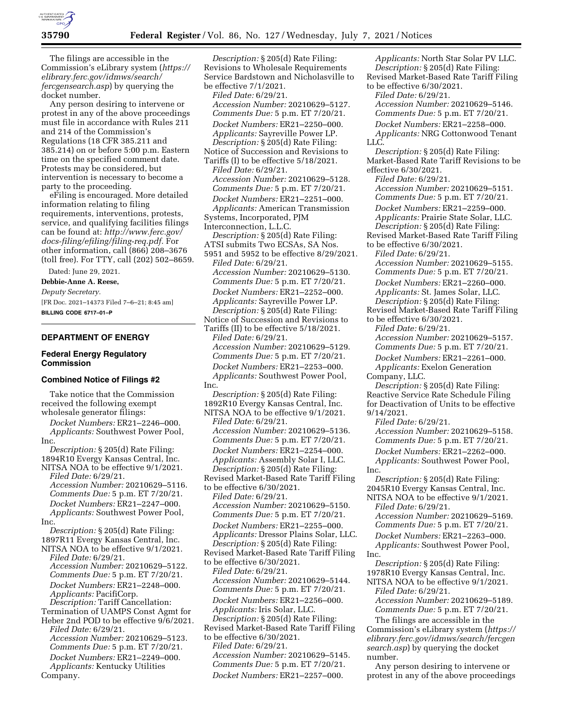

The filings are accessible in the Commission's eLibrary system (*[https://](https://elibrary.ferc.gov/idmws/search/fercgensearch.asp) [elibrary.ferc.gov/idmws/search/](https://elibrary.ferc.gov/idmws/search/fercgensearch.asp) [fercgensearch.asp](https://elibrary.ferc.gov/idmws/search/fercgensearch.asp)*) by querying the docket number.

Any person desiring to intervene or protest in any of the above proceedings must file in accordance with Rules 211 and 214 of the Commission's Regulations (18 CFR 385.211 and 385.214) on or before 5:00 p.m. Eastern time on the specified comment date. Protests may be considered, but intervention is necessary to become a party to the proceeding.

eFiling is encouraged. More detailed information relating to filing requirements, interventions, protests, service, and qualifying facilities filings can be found at: *[http://www.ferc.gov/](http://www.ferc.gov/docs-filing/efiling/filing-req.pdf)  [docs-filing/efiling/filing-req.pdf.](http://www.ferc.gov/docs-filing/efiling/filing-req.pdf)* For other information, call (866) 208–3676 (toll free). For TTY, call (202) 502–8659.

Dated: June 29, 2021.

### **Debbie-Anne A. Reese,**

*Deputy Secretary.* 

[FR Doc. 2021–14373 Filed 7–6–21; 8:45 am] **BILLING CODE 6717–01–P** 

# **DEPARTMENT OF ENERGY**

### **Federal Energy Regulatory Commission**

#### **Combined Notice of Filings #2**

Take notice that the Commission received the following exempt wholesale generator filings:

*Docket Numbers:* ER21–2246–000. *Applicants:* Southwest Power Pool, Inc.

*Description:* § 205(d) Rate Filing: 1894R10 Evergy Kansas Central, Inc. NITSA NOA to be effective 9/1/2021. *Filed Date:* 6/29/21. *Accession Number:* 20210629–5116. *Comments Due:* 5 p.m. ET 7/20/21. *Docket Numbers:* ER21–2247–000. *Applicants:* Southwest Power Pool, Inc.

*Description:* § 205(d) Rate Filing: 1897R11 Evergy Kansas Central, Inc. NITSA NOA to be effective 9/1/2021.

*Filed Date:* 6/29/21. *Accession Number:* 20210629–5122. *Comments Due:* 5 p.m. ET 7/20/21. *Docket Numbers:* ER21–2248–000. *Applicants:* PacifiCorp. *Description:* Tariff Cancellation: Termination of UAMPS Const Agmt for Heber 2nd POD to be effective 9/6/2021. *Filed Date:* 6/29/21.

*Accession Number:* 20210629–5123. *Comments Due:* 5 p.m. ET 7/20/21. *Docket Numbers:* ER21–2249–000. *Applicants:* Kentucky Utilities Company.

*Description:* § 205(d) Rate Filing: Revisions to Wholesale Requirements Service Bardstown and Nicholasville to be effective 7/1/2021. *Filed Date:* 6/29/21. *Accession Number:* 20210629–5127. *Comments Due:* 5 p.m. ET 7/20/21. *Docket Numbers:* ER21–2250–000. *Applicants:* Sayreville Power LP. *Description:* § 205(d) Rate Filing: Notice of Succession and Revisions to Tariffs (I) to be effective 5/18/2021. *Filed Date:* 6/29/21. *Accession Number:* 20210629–5128. *Comments Due:* 5 p.m. ET 7/20/21. *Docket Numbers:* ER21–2251–000. *Applicants:* American Transmission Systems, Incorporated, PJM Interconnection, L.L.C. *Description:* § 205(d) Rate Filing: ATSI submits Two ECSAs, SA Nos. 5951 and 5952 to be effective 8/29/2021. *Filed Date:* 6/29/21. *Accession Number:* 20210629–5130. *Comments Due:* 5 p.m. ET 7/20/21. *Docket Numbers:* ER21–2252–000. *Applicants:* Sayreville Power LP. *Description:* § 205(d) Rate Filing: Notice of Succession and Revisions to Tariffs (II) to be effective 5/18/2021. *Filed Date:* 6/29/21. *Accession Number:* 20210629–5129. *Comments Due:* 5 p.m. ET 7/20/21. *Docket Numbers:* ER21–2253–000. *Applicants:* Southwest Power Pool, Inc. *Description:* § 205(d) Rate Filing: 1892R10 Evergy Kansas Central, Inc. NITSA NOA to be effective 9/1/2021. *Filed Date:* 6/29/21. *Accession Number:* 20210629–5136. *Comments Due:* 5 p.m. ET 7/20/21. *Docket Numbers:* ER21–2254–000. *Applicants:* Assembly Solar I, LLC. *Description:* § 205(d) Rate Filing: Revised Market-Based Rate Tariff Filing to be effective 6/30/2021. *Filed Date:* 6/29/21. *Accession Number:* 20210629–5150. *Comments Due:* 5 p.m. ET 7/20/21. *Docket Numbers:* ER21–2255–000. *Applicants:* Dressor Plains Solar, LLC. *Description:* § 205(d) Rate Filing: Revised Market-Based Rate Tariff Filing to be effective 6/30/2021. *Filed Date:* 6/29/21. *Accession Number:* 20210629–5144. *Comments Due:* 5 p.m. ET 7/20/21. *Docket Numbers:* ER21–2256–000. *Applicants:* Iris Solar, LLC. *Description:* § 205(d) Rate Filing: Revised Market-Based Rate Tariff Filing to be effective 6/30/2021. *Filed Date:* 6/29/21. *Accession Number:* 20210629–5145.

*Comments Due:* 5 p.m. ET 7/20/21. *Docket Numbers:* ER21–2257–000.

*Applicants:* North Star Solar PV LLC. *Description:* § 205(d) Rate Filing: Revised Market-Based Rate Tariff Filing to be effective 6/30/2021. *Filed Date:* 6/29/21. *Accession Number:* 20210629–5146. *Comments Due:* 5 p.m. ET 7/20/21. *Docket Numbers:* ER21–2258–000. *Applicants:* NRG Cottonwood Tenant LLC. *Description:* § 205(d) Rate Filing: Market-Based Rate Tariff Revisions to be effective 6/30/2021. *Filed Date:* 6/29/21. *Accession Number:* 20210629–5151. *Comments Due:* 5 p.m. ET 7/20/21. *Docket Numbers:* ER21–2259–000. *Applicants:* Prairie State Solar, LLC. *Description:* § 205(d) Rate Filing: Revised Market-Based Rate Tariff Filing to be effective 6/30/2021. *Filed Date:* 6/29/21. *Accession Number:* 20210629–5155. *Comments Due:* 5 p.m. ET 7/20/21. *Docket Numbers:* ER21–2260–000. *Applicants:* St. James Solar, LLC. *Description:* § 205(d) Rate Filing: Revised Market-Based Rate Tariff Filing to be effective 6/30/2021. *Filed Date:* 6/29/21. *Accession Number:* 20210629–5157. *Comments Due:* 5 p.m. ET 7/20/21. *Docket Numbers:* ER21–2261–000. *Applicants:* Exelon Generation Company, LLC. *Description:* § 205(d) Rate Filing: Reactive Service Rate Schedule Filing for Deactivation of Units to be effective 9/14/2021. *Filed Date:* 6/29/21. *Accession Number:* 20210629–5158. *Comments Due:* 5 p.m. ET 7/20/21. *Docket Numbers:* ER21–2262–000. *Applicants:* Southwest Power Pool, Inc. *Description:* § 205(d) Rate Filing: 2045R10 Evergy Kansas Central, Inc. NITSA NOA to be effective 9/1/2021. *Filed Date:* 6/29/21. *Accession Number:* 20210629–5169. *Comments Due:* 5 p.m. ET 7/20/21. *Docket Numbers:* ER21–2263–000. *Applicants:* Southwest Power Pool, Inc. *Description:* § 205(d) Rate Filing: 1978R10 Evergy Kansas Central, Inc. NITSA NOA to be effective 9/1/2021. *Filed Date:* 6/29/21. *Accession Number:* 20210629–5189. *Comments Due:* 5 p.m. ET 7/20/21. The filings are accessible in the

Commission's eLibrary system (*[https://](https://elibrary.ferc.gov/idmws/search/fercgensearch.asp) [elibrary.ferc.gov/idmws/search/fercgen](https://elibrary.ferc.gov/idmws/search/fercgensearch.asp) [search.asp](https://elibrary.ferc.gov/idmws/search/fercgensearch.asp)*) by querying the docket number.

Any person desiring to intervene or protest in any of the above proceedings